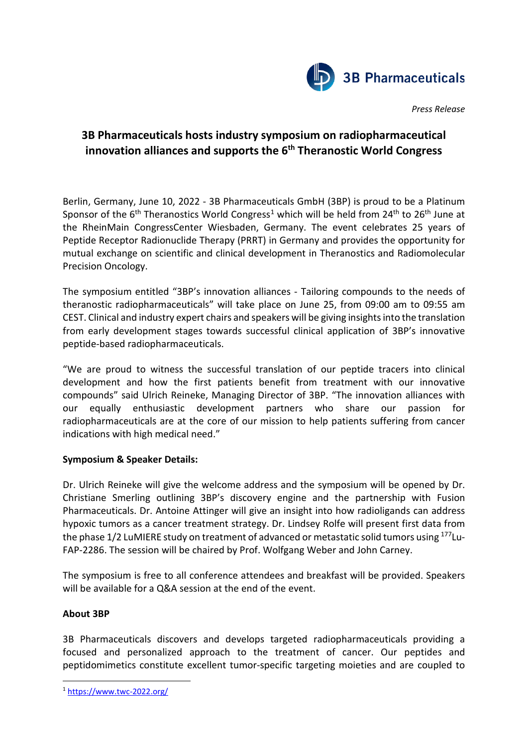

*Press Release*

## **3B Pharmaceuticals hosts industry symposium on radiopharmaceutical innovation alliances and supports the 6th Theranostic World Congress**

Berlin, Germany, June 10, 2022 - 3B Pharmaceuticals GmbH (3BP) is proud to be a Platinum Sponsor of the  $6<sup>th</sup>$  Theranostics World Congress<sup>[1](#page-0-0)</sup> which will be held from 24<sup>th</sup> to 26<sup>th</sup> June at the RheinMain CongressCenter Wiesbaden, Germany. The event celebrates 25 years of Peptide Receptor Radionuclide Therapy (PRRT) in Germany and provides the opportunity for mutual exchange on scientific and clinical development in Theranostics and Radiomolecular Precision Oncology.

The symposium entitled "3BP's innovation alliances - Tailoring compounds to the needs of theranostic radiopharmaceuticals" will take place on June 25, from 09:00 am to 09:55 am CEST. Clinical and industry expert chairs and speakers will be giving insightsinto the translation from early development stages towards successful clinical application of 3BP's innovative peptide-based radiopharmaceuticals.

"We are proud to witness the successful translation of our peptide tracers into clinical development and how the first patients benefit from treatment with our innovative compounds" said Ulrich Reineke, Managing Director of 3BP. "The innovation alliances with our equally enthusiastic development partners who share our passion for radiopharmaceuticals are at the core of our mission to help patients suffering from cancer indications with high medical need."

## **Symposium & Speaker Details:**

Dr. Ulrich Reineke will give the welcome address and the symposium will be opened by Dr. Christiane Smerling outlining 3BP's discovery engine and the partnership with Fusion Pharmaceuticals. Dr. Antoine Attinger will give an insight into how radioligands can address hypoxic tumors as a cancer treatment strategy. Dr. Lindsey Rolfe will present first data from the phase 1/2 LuMIERE study on treatment of advanced or metastatic solid tumors using <sup>177</sup>Lu-FAP-2286. The session will be chaired by Prof. Wolfgang Weber and John Carney.

The symposium is free to all conference attendees and breakfast will be provided. Speakers will be available for a Q&A session at the end of the event.

## **About 3BP**

3B Pharmaceuticals discovers and develops targeted radiopharmaceuticals providing a focused and personalized approach to the treatment of cancer. Our peptides and peptidomimetics constitute excellent tumor-specific targeting moieties and are coupled to

<span id="page-0-0"></span><sup>1</sup> <https://www.twc-2022.org/>